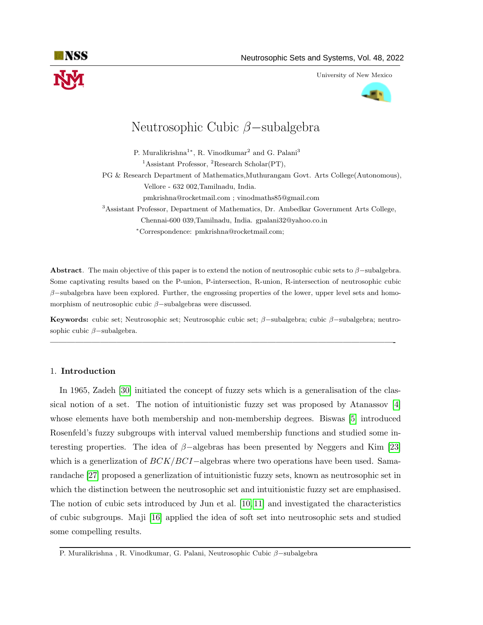

University of New Mexico



# Neutrosophic Cubic β−subalgebra

P. Muralikrishna<sup>1</sup>\*, R. Vinodkumar<sup>2</sup> and G. Palani<sup>3</sup>

<sup>1</sup>Assistant Professor, <sup>2</sup>Research Scholar(PT),

PG & Research Department of Mathematics,Muthurangam Govt. Arts College(Autonomous), Vellore - 632 002,Tamilnadu, India.

pmkrishna@rocketmail.com ; vinodmaths85@gmail.com

<sup>3</sup>Assistant Professor, Department of Mathematics, Dr. Ambedkar Government Arts College, Chennai-600 039,Tamilnadu, India. gpalani32@yahoo.co.in

<sup>∗</sup>Correspondence: pmkrishna@rocketmail.com;

Abstract. The main objective of this paper is to extend the notion of neutrosophic cubic sets to  $\beta$ –subalgebra. Some captivating results based on the P-union, P-intersection, R-union, R-intersection of neutrosophic cubic  $\beta$ –subalgebra have been explored. Further, the engrossing properties of the lower, upper level sets and homomorphism of neutrosophic cubic β−subalgebras were discussed.

Keywords: cubic set; Neutrosophic set; Neutrosophic cubic set; β−subalgebra; cubic β−subalgebra; neutrosophic cubic  $\beta$ -subalgebra.

—————————————————————————————————————————-

# 1. Introduction

In 1965, Zadeh [\[30\]](#page-15-0) initiated the concept of fuzzy sets which is a generalisation of the classical notion of a set. The notion of intuitionistic fuzzy set was proposed by Atanassov [\[4\]](#page-14-0) whose elements have both membership and non-membership degrees. Biswas [\[5\]](#page-14-1) introduced Rosenfeld's fuzzy subgroups with interval valued membership functions and studied some interesting properties. The idea of  $\beta$ -algebras has been presented by Neggers and Kim [\[23\]](#page-15-1) which is a generization of  $BCK/BCI$ –algebras where two operations have been used. Samarandache [\[27\]](#page-15-2) proposed a generlization of intuitionistic fuzzy sets, known as neutrosophic set in which the distinction between the neutrosophic set and intuitionistic fuzzy set are emphasised. The notion of cubic sets introduced by Jun et al. [\[10,](#page-15-3) [11\]](#page-15-4) and investigated the characteristics of cubic subgroups. Maji [\[16\]](#page-15-5) applied the idea of soft set into neutrosophic sets and studied some compelling results.

P. Muralikrishna , R. Vinodkumar, G. Palani, Neutrosophic Cubic β−subalgebra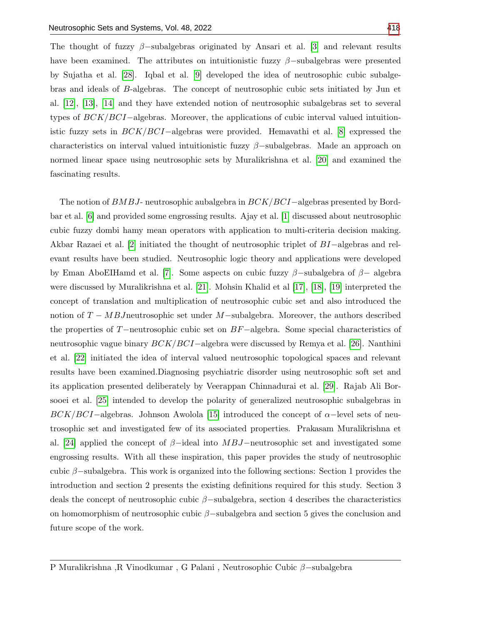The thought of fuzzy  $\beta$ –subalgebras originated by Ansari et al. [\[3\]](#page-14-2) and relevant results have been examined. The attributes on intuitionistic fuzzy  $\beta$ –subalgebras were presented by Sujatha et al. [\[28\]](#page-15-7). Iqbal et al. [\[9\]](#page-15-8) developed the idea of neutrosophic cubic subalgebras and ideals of B-algebras. The concept of neutrosophic cubic sets initiated by Jun et al. [\[12\]](#page-15-9), [\[13\]](#page-15-10), [\[14\]](#page-15-11) and they have extended notion of neutrosophic subalgebras set to several types of BCK/BCI−algebras. Moreover, the applications of cubic interval valued intuitionistic fuzzy sets in BCK/BCI−algebras were provided. Hemavathi et al. [\[8\]](#page-14-3) expressed the characteristics on interval valued intuitionistic fuzzy  $\beta$ –subalgebras. Made an approach on normed linear space using neutrosophic sets by Muralikrishna et al. [\[20\]](#page-15-12) and examined the fascinating results.

The notion of BMBJ- neutrosophic aubalgebra in BCK/BCI–algebras presented by Bordbar et al. [\[6\]](#page-14-4) and provided some engrossing results. Ajay et al. [\[1\]](#page-14-5) discussed about neutrosophic cubic fuzzy dombi hamy mean operators with application to multi-criteria decision making. Akbar Razaei et al. [\[2\]](#page-14-6) initiated the thought of neutrosophic triplet of BI−algebras and relevant results have been studied. Neutrosophic logic theory and applications were developed by Eman AboEIHamd et al. [\[7\]](#page-14-7). Some aspects on cubic fuzzy  $\beta$ -subalgebra of  $\beta$ - algebra were discussed by Muralikrishna et al. [\[21\]](#page-15-13). Mohsin Khalid et al [\[17\]](#page-15-14), [\[18\]](#page-15-15), [\[19\]](#page-15-16) interpreted the concept of translation and multiplication of neutrosophic cubic set and also introduced the notion of  $T - MBJ$ neutrosophic set under M-subalgebra. Moreover, the authors described the properties of T−neutrosophic cubic set on BF−algebra. Some special characteristics of neutrosophic vague binary BCK/BCI−algebra were discussed by Remya et al. [\[26\]](#page-15-17). Nanthini et al. [\[22\]](#page-15-18) initiated the idea of interval valued neutrosophic topological spaces and relevant results have been examined.Diagnosing psychiatric disorder using neutrosophic soft set and its application presented deliberately by Veerappan Chinnadurai et al. [\[29\]](#page-15-19). Rajab Ali Borsooei et al. [\[25\]](#page-15-20) intended to develop the polarity of generalized neutrosophic subalgebras in  $BCK/BCI$ −algebras. Johnson Awolola [\[15\]](#page-15-21) introduced the concept of  $\alpha$ −level sets of neutrosophic set and investigated few of its associated properties. Prakasam Muralikrishna et al. [\[24\]](#page-15-22) applied the concept of  $\beta$ -ideal into MBJ-neutrosophic set and investigated some engrossing results. With all these inspiration, this paper provides the study of neutrosophic cubic  $\beta$ –subalgebra. This work is organized into the following sections: Section 1 provides the introduction and section 2 presents the existing definitions required for this study. Section 3 deals the concept of neutrosophic cubic  $\beta$ –subalgebra, section 4 describes the characteristics on homomorphism of neutrosophic cubic  $\beta$ –subalgebra and section 5 gives the conclusion and future scope of the work.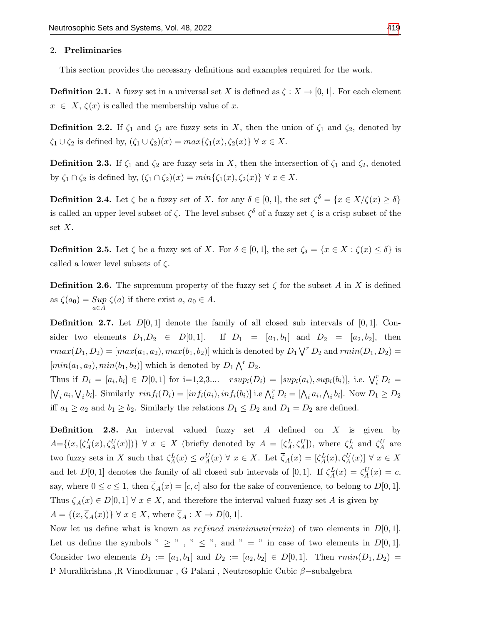#### 2. Preliminaries

This section provides the necessary definitions and examples required for the work.

**Definition 2.1.** A fuzzy set in a universal set X is defined as  $\zeta : X \to [0,1]$ . For each element  $x \in X$ ,  $\zeta(x)$  is called the membership value of x.

**Definition 2.2.** If  $\zeta_1$  and  $\zeta_2$  are fuzzy sets in X, then the union of  $\zeta_1$  and  $\zeta_2$ , denoted by  $\zeta_1 \cup \zeta_2$  is defined by,  $(\zeta_1 \cup \zeta_2)(x) = max{\zeta_1(x), \zeta_2(x)} \ \forall \ x \in X.$ 

**Definition 2.3.** If  $\zeta_1$  and  $\zeta_2$  are fuzzy sets in X, then the intersection of  $\zeta_1$  and  $\zeta_2$ , denoted by  $\zeta_1 \cap \zeta_2$  is defined by,  $(\zeta_1 \cap \zeta_2)(x) = min{\zeta_1(x), \zeta_2(x)} \ \forall \ x \in X$ .

**Definition 2.4.** Let  $\zeta$  be a fuzzy set of X. for any  $\delta \in [0,1]$ , the set  $\zeta^{\delta} = \{x \in X/\zeta(x) \geq \delta\}$ is called an upper level subset of  $\zeta$ . The level subset  $\zeta^{\delta}$  of a fuzzy set  $\zeta$  is a crisp subset of the set  $X$ .

**Definition 2.5.** Let  $\zeta$  be a fuzzy set of X. For  $\delta \in [0,1]$ , the set  $\zeta_{\delta} = \{x \in X : \zeta(x) \leq \delta\}$  is called a lower level subsets of  $\zeta$ .

**Definition 2.6.** The supremum property of the fuzzy set  $\zeta$  for the subset A in X is defined as  $\zeta(a_0) = \sup_{a \in A} \zeta(a)$  if there exist  $a, a_0 \in A$ .

**Definition 2.7.** Let  $D[0,1]$  denote the family of all closed sub intervals of  $[0,1]$ . Consider two elements  $D_1, D_2 \in D[0, 1]$ . If  $D_1 = [a_1, b_1]$  and  $D_2 = [a_2, b_2]$ , then  $rmax(D_1, D_2) = [max(a_1, a_2), max(b_1, b_2)]$  which is denoted by  $D_1 \setminus T D_2$  and  $rmin(D_1, D_2) =$  $[min(a_1, a_2), min(b_1, b_2)]$  which is denoted by  $D_1 \bigwedge^r D_2$ .

Thus if  $D_i = [a_i, b_i] \in D[0, 1]$  for  $i=1, 2, 3...$   $rsup_i(D_i) = [sup_i(a_i), sup_i(b_i)],$  i.e.  $\bigvee_i^r D_i =$  $[\bigvee_i a_i, \bigvee_i b_i]$ . Similarly  $rinf_i(D_i) = [inf_i(a_i), inf_i(b_i)]$  i.e  $\bigwedge_i^r D_i = [\bigwedge_i a_i, \bigwedge_i b_i]$ . Now  $D_1 \geq D_2$ iff  $a_1 \ge a_2$  and  $b_1 \ge b_2$ . Similarly the relations  $D_1 \le D_2$  and  $D_1 = D_2$  are defined.

**Definition 2.8.** An interval valued fuzzy set  $A$  defined on  $X$  is given by  $A=\{(x,[\zeta_A^L(x),\zeta_A^U(x)])\}\ \forall\ x\in X$  (briefly denoted by  $A=[\zeta_A^L,\zeta_A^U]$ ), where  $\zeta_A^L$  and  $\zeta_A^U$  are two fuzzy sets in X such that  $\zeta_A^L(x) \leq \sigma_A^U(x) \forall x \in X$ . Let  $\overline{\zeta}_A(x) = [\zeta_A^L(x), \zeta_A^U(x)] \forall x \in X$ and let  $D[0,1]$  denotes the family of all closed sub intervals of [0,1]. If  $\zeta_A^L(x) = \zeta_A^U(x) = c$ , say, where  $0 \leq c \leq 1$ , then  $\overline{\zeta}_A(x) = [c, c]$  also for the sake of convenience, to belong to  $D[0, 1]$ . Thus  $\overline{\zeta}_A(x) \in D[0,1]$   $\forall x \in X$ , and therefore the interval valued fuzzy set A is given by  $A = \{(x, \overline{\zeta}_A(x))\} \ \forall \ x \in X, \text{ where } \overline{\zeta}_A : X \to D[0, 1].$ 

Now let us define what is known as *refined mimimum(rmin)* of two elements in  $D[0,1]$ . Let us define the symbols "  $\geq$  ", "  $\leq$  ", and " = " in case of two elements in  $D[0,1]$ . Consider two elements  $D_1 := [a_1, b_1]$  and  $D_2 := [a_2, b_2] \in D[0, 1]$ . Then  $\text{rmin}(D_1, D_2)$ 

P Muralikrishna ,R Vinodkumar , G Palani , Neutrosophic Cubic β−subalgebra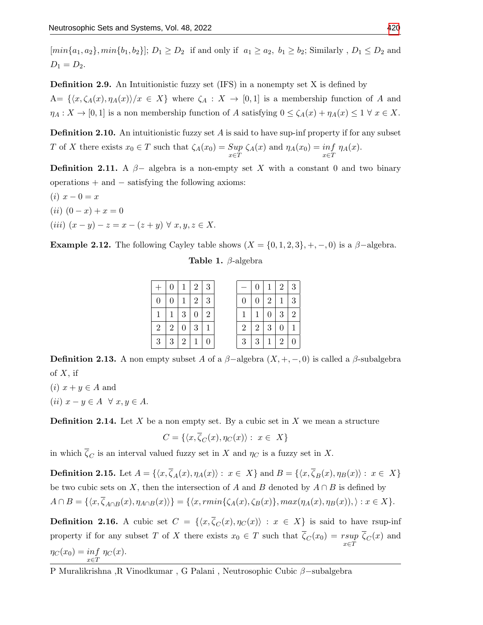$[min\{a_1, a_2\}, min\{b_1, b_2\}]; D_1 \geq D_2$  if and only if  $a_1 \geq a_2$ ,  $b_1 \geq b_2$ ; Similarly,  $D_1 \leq D_2$  and  $D_1 = D_2.$ 

Definition 2.9. An Intuitionistic fuzzy set (IFS) in a nonempty set X is defined by  $A=\{\langle x,\zeta_A(x),\eta_A(x)\rangle/x\in X\}$  where  $\zeta_A: X\to [0,1]$  is a membership function of A and  $\eta_A: X \to [0,1]$  is a non membership function of A satisfying  $0 \le \zeta_A(x) + \eta_A(x) \le 1 \ \forall x \in X$ .

**Definition 2.10.** An intuitionistic fuzzy set  $A$  is said to have sup-inf property if for any subset T of X there exists  $x_0 \in T$  such that  $\zeta_A(x_0) = \sup_{x \in T} \zeta_A(x)$  and  $\eta_A(x_0) = \inf_{x \in T} \eta_A(x)$ .

**Definition 2.11.** A  $\beta$ - algebra is a non-empty set X with a constant 0 and two binary operations + and − satisfying the following axioms:

(i)  $x - 0 = x$  $(ii)$   $(0 - x) + x = 0$ (iii)  $(x - y) - z = x - (z + y) \forall x, y, z \in X$ .

**Example 2.12.** The following Cayley table shows  $(X = \{0, 1, 2, 3\}, +, -, 0)$  is a  $\beta$ -algebra.

Table 1. β-algebra

|   | $+ 0 1 2 3$                     |  |  |              | 0 <sup>1</sup> | $1 \mid 2 \mid 3$             |  |
|---|---------------------------------|--|--|--------------|----------------|-------------------------------|--|
| 0 | 0 1 2 3                         |  |  |              |                | 0   2   1   3                 |  |
|   | 1   1   3   0   2               |  |  | $\mathbf{1}$ |                | 1   0   3   2                 |  |
|   | 2   2   0   3   1               |  |  |              |                | $2 \mid 2 \mid 3 \mid 0 \mid$ |  |
|   | $3 \mid 3 \mid 2 \mid 1 \mid 0$ |  |  |              |                | 3   3   1   2   0             |  |

**Definition 2.13.** A non empty subset A of a  $\beta$ -algebra  $(X, +, -, 0)$  is called a  $\beta$ -subalgebra of  $X$ , if

(i)  $x + y \in A$  and (ii)  $x - y \in A \ \forall x, y \in A$ .

**Definition 2.14.** Let X be a non empty set. By a cubic set in X we mean a structure

$$
C = \{ \langle x, \overline{\zeta}_C(x), \eta_C(x) \rangle : x \in X \}
$$

in which  $\zeta_C$  is an interval valued fuzzy set in X and  $\eta_C$  is a fuzzy set in X.

**Definition 2.15.** Let  $A = \{ \langle x, \overline{\zeta}_A(x), \eta_A(x) \rangle : x \in X \}$  and  $B = \{ \langle x, \overline{\zeta}_B(x), \eta_B(x) \rangle : x \in X \}$ be two cubic sets on X, then the intersection of A and B denoted by  $A \cap B$  is defined by  $A \cap B = \{ \langle x, \overline{\zeta}_{A \cap B}(x), \eta_{A \cap B}(x) \rangle \} = \{ \langle x, rmin\{\zeta_A(x), \zeta_B(x)\}, max(\eta_A(x), \eta_B(x)), \rangle : x \in X \}.$ 

**Definition 2.16.** A cubic set  $C = \{\langle x, \overline{\zeta}_C(x), \eta_C(x)\rangle : x \in X\}$  is said to have rsup-inf property if for any subset T of X there exists  $x_0 \in T$  such that  $\zeta_C(x_0) = \sup_{x \in T} \zeta_C(x)$  and  $\eta_C(x_0) = \inf_{x \in T} \eta_C(x).$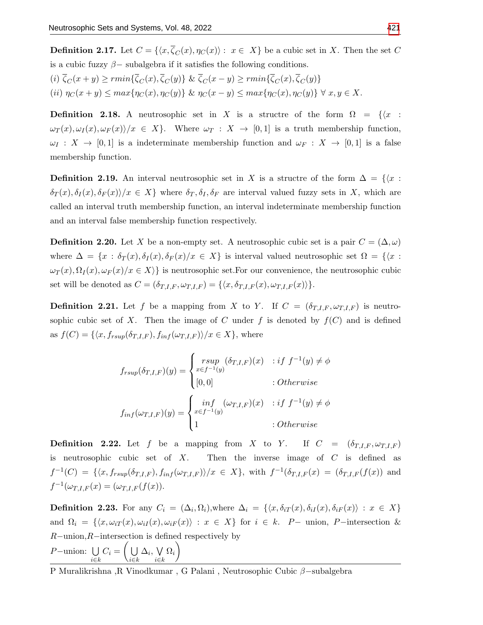**Definition 2.17.** Let  $C = \{\langle x, \overline{\zeta_C}(x), \eta_C(x)\rangle : x \in X\}$  be a cubic set in X. Then the set C is a cubic fuzzy  $\beta$  – subalgebra if it satisfies the following conditions. (i)  $\overline{\zeta}_C(x+y) \geq r \min\{\overline{\zeta}_C(x), \overline{\zeta}_C(y)\}\ \& \ \overline{\zeta}_C(x-y) \geq r \min\{\overline{\zeta}_C(x), \overline{\zeta}_C(y)\}\$ 

(ii)  $\eta_C(x+y) \leq max\{\eta_C(x), \eta_C(y)\}$  &  $\eta_C(x-y) \leq max\{\eta_C(x), \eta_C(y)\}$   $\forall x, y \in X$ .

**Definition 2.18.** A neutrosophic set in X is a structre of the form  $\Omega = \{x :$  $\omega_T(x), \omega_I(x), \omega_F(x) \rangle / x \in X$ . Where  $\omega_T : X \to [0,1]$  is a truth membership function,  $\omega_I : X \to [0,1]$  is a indeterminate membership function and  $\omega_F : X \to [0,1]$  is a false membership function.

**Definition 2.19.** An interval neutrosophic set in X is a structre of the form  $\Delta = \{\langle x :$  $\delta_T(x), \delta_I(x), \delta_F(x)/x \in X$  where  $\delta_T, \delta_I, \delta_F$  are interval valued fuzzy sets in X, which are called an interval truth membership function, an interval indeterminate membership function and an interval false membership function respectively.

**Definition 2.20.** Let X be a non-empty set. A neutrosophic cubic set is a pair  $C = (\Delta, \omega)$ where  $\Delta = \{x : \delta_T(x), \delta_I(x), \delta_F(x) / x \in X\}$  is interval valued neutrosophic set  $\Omega = \{\langle x : X \rangle : \delta_T(x), \delta_I(x) \in X\}$  $\omega_T(x), \Omega_I(x), \omega_F(x)/x \in X$ } is neutrosophic set. For our convenience, the neutrosophic cubic set will be denoted as  $C = (\delta_{T,I,F}, \omega_{T,I,F}) = \{\langle x, \delta_{T,I,F}(x), \omega_{T,I,F}(x) \rangle\}.$ 

**Definition 2.21.** Let f be a mapping from X to Y. If  $C = (\delta_{T,I,F}, \omega_{T,I,F})$  is neutrosophic cubic set of X. Then the image of C under f is denoted by  $f(C)$  and is defined as  $f(C) = \{\langle x, f_{rsup}(\delta_{T,I,F}), f_{inf}(\omega_{T,I,F}) \rangle / x \in X\}$ , where

$$
f_{rsup}(\delta_{T,I,F})(y) = \begin{cases} rsup & (\delta_{T,I,F})(x) : if f^{-1}(y) \neq \phi \\ \begin{bmatrix} i0,0 \end{bmatrix} & : Otherwise \end{cases}
$$

$$
f_{inf}(\omega_{T,I,F})(y) = \begin{cases} inf & (\omega_{T,I,F})(x) : if f^{-1}(y) \neq \phi \\ 1 & : Otherwise \end{cases}
$$

**Definition 2.22.** Let f be a mapping from X to Y. If  $C = (\delta_{T,I,F}, \omega_{T,I,F})$ is neutrosophic cubic set of  $X$ . Then the inverse image of  $C$  is defined as  $f^{-1}(C) = \{ \langle x, f_{rsup}(\delta_{T,I,F}), f_{inf}(\omega_{T,I,F}) \rangle / x \in X \},$  with  $f^{-1}(\delta_{T,I,F}(x)) = (\delta_{T,I,F}(f(x)))$  and  $f^{-1}(\omega_{T,I,F}(x) = (\omega_{T,I,F}(f(x))).$ 

**Definition 2.23.** For any  $C_i = (\Delta_i, \Omega_i)$ , where  $\Delta_i = \{ \langle x, \delta_{iT}(x), \delta_{iI}(x), \delta_{iF}(x) \rangle : x \in X \}$ and  $\Omega_i = \{ \langle x, \omega_{iT}(x), \omega_{iT}(x), \omega_{iF}(x) \rangle : x \in X \}$  for  $i \in k$ . P – union, P – intersection & R−union,R−intersection is defined respectively by

$$
P-\text{union: } \bigcup_{i\in k} C_i = \left(\bigcup_{i\in k} \Delta_i, \bigvee_{i\in k} \Omega_i\right)
$$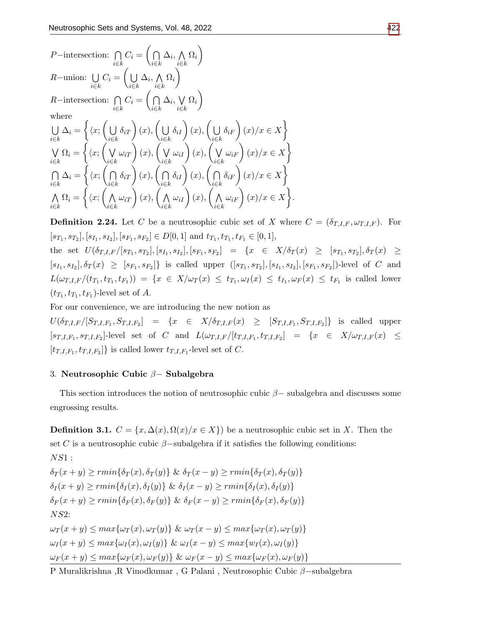$$
P-\text{intersection: } \bigcap_{i\in k} C_i = \left(\bigcap_{i\in k} \Delta_i, \bigwedge_{i\in k} \Omega_i\right)
$$
  
\n
$$
R-\text{union: } \bigcup_{i\in k} C_i = \left(\bigcup_{i\in k} \Delta_i, \bigwedge_{i\in k} \Omega_i\right)
$$
  
\n
$$
R-\text{intersection: } \bigcap_{i\in k} C_i = \left(\bigcap_{i\in k} \Delta_i, \bigvee_{i\in k} \Omega_i\right)
$$
  
\nwhere  
\n
$$
\bigcup_{i\in k} \Delta_i = \left\{\langle x; \left(\bigcup_{i\in k} \delta_{iT}\right)(x), \left(\bigcup_{i\in k} \delta_{iI}\right)(x), \left(\bigcup_{i\in k} \delta_{iF}\right)(x)\rangle x \in X\right\}
$$
  
\n
$$
\bigvee_{i\in k} \Omega_i = \left\{\langle x; \left(\bigvee_{i\in k} \omega_{iT}\right)(x), \left(\bigvee_{i\in k} \omega_{iI}\right)(x), \left(\bigvee_{i\in k} \omega_{iF}\right)(x)\rangle x \in X\right\}
$$
  
\n
$$
\bigcap_{i\in k} \Delta_i = \left\{\langle x; \left(\bigcap_{i\in k} \delta_{iT}\right)(x), \left(\bigcap_{i\in k} \delta_{iI}\right)(x), \left(\bigcap_{i\in k} \delta_{iF}\right)(x)\rangle x \in X\right\}
$$
  
\n
$$
\bigwedge_{i\in k} \Omega_i = \left\{\langle x; \left(\bigwedge_{i\in k} \omega_{iT}\right)(x), \left(\bigwedge_{i\in k} \omega_{iI}\right)(x), \left(\bigwedge_{i\in k} \omega_{iF}\right)(x)\rangle x \in X\right\}.
$$

**Definition 2.24.** Let C be a neutrosophic cubic set of X where  $C = (\delta_{T,I,F}, \omega_{T,I,F})$ . For  $[s_{T_1}, s_{T_2}], [s_{I_1}, s_{I_2}], [s_{F_1}, s_{F_2}] \in D[0, 1]$  and  $t_{T_1}, t_{T_1}, t_{F_1} \in [0, 1],$ 

the set  $U(\delta_{T,I,F}/[s_{T_1}, s_{T_2}], [s_{I_1}, s_{I_2}], [s_{F_1}, s_{F_2}] = \{x \in X/\delta_T(x) \geq [s_{T_1}, s_{T_2}], \delta_T(x) \geq$  $[s_{I_1}, s_{I_2}], \delta_T(x) \geq [s_{F_1}, s_{F_2}]$  is called upper  $([s_{T_1}, s_{T_2}], [s_{I_1}, s_{I_2}], [s_{F_1}, s_{F_2}])$ -level of C and  $L(\omega_{T,I,F}/(t_{T_1},t_{T_1},t_{F_1})) = \{x \in X/\omega_T(x) \leq t_{T_1}, \omega_I(x) \leq t_{I_1}, \omega_F(x) \leq t_{F_1} \text{ is called lower} \}$  $(t_{T_1}, t_{T_1}, t_{F_1})$ -level set of A.

For our convenience, we are introducing the new notion as

 $U(\delta_{T,I,F}/[S_{T,I,F_1},S_{T,I,F_2}] = \{x \in X/\delta_{T,I,F}(x) \geq [S_{T,I,F_1},S_{T,I,F_2}] \}$  is called upper  $[s_{T,I,F_1}, s_{T,I,F_2}]$ -level set of C and  $L(\omega_{T,I,F}/[t_{T,I,F_1}, t_{T,I,F_2}] = \{x \in X/\omega_{T,I,F}(x) \leq$  $[t_{T,I,F_1}, t_{T,I,F_2}]$ } is called lower  $t_{T,I,F_1}$ -level set of C.

## 3. Neutrosophic Cubic β− Subalgebra

This section introduces the notion of neutrosophic cubic  $\beta-$  subalgebra and discusses some engrossing results.

**Definition 3.1.**  $C = \{x, \Delta(x), \Omega(x)/x \in X\}$  be a neutrosophic cubic set in X. Then the set C is a neutrosophic cubic  $\beta$ –subalgebra if it satisfies the following conditions: NS1 :

 $\delta_T(x+y) \geq r \min\{\delta_T(x), \delta_T(y)\}\; \& \; \delta_T(x-y) \geq r \min\{\delta_T(x), \delta_T(y)\}$  $\delta_I(x+y) \geq r \min{\delta_I(x), \delta_I(y)}$  &  $\delta_I(x-y) \geq r \min{\delta_I(x), \delta_I(y)}$  $\delta_F(x+y) \geq r \min\{\delta_F(x),\delta_F(y)\}\&\delta_F(x-y) \geq r \min\{\delta_F(x),\delta_F(y)\}$ NS2:  $\omega_T(x+y) \leq max{\omega_T(x), \omega_T(y)}$  &  $\omega_T(x-y) \leq max{\omega_T(x), \omega_T(y)}$  $\omega_I(x + y) \leq max\{\omega_I(x), \omega_I(y)\}\; \& \; \omega_I(x - y) \leq max\{w_I(x), \omega_I(y)\}\;$  $\omega_F(x+y) \leq max{\omega_F(x), \omega_F(y)} \& \omega_F(x-y) \leq max{\omega_F(x), \omega_F(y)}$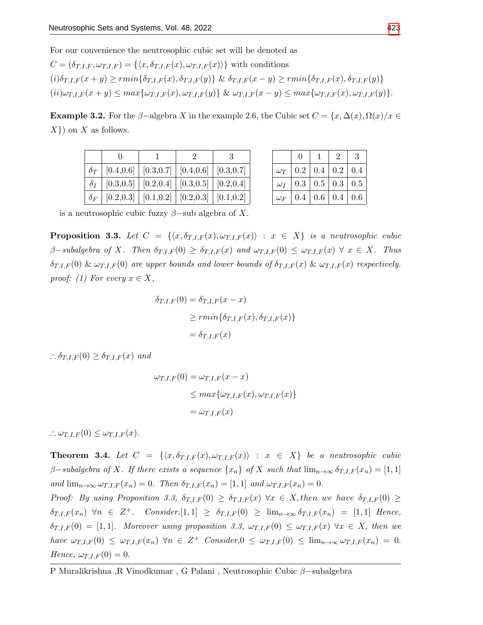For our convenience the neutrosophic cubic set will be denoted as

$$
C = (\delta_{T,I,F}, \omega_{T,I,F}) = \{ \langle x, \delta_{T,I,F}(x), \omega_{T,I,F}(x) \rangle \} \text{ with conditions}
$$
  
\n
$$
(i) \delta_{T,I,F}(x+y) \ge r \min \{ \delta_{T,I,F}(x), \delta_{T,I,F}(y) \} \& \delta_{T,I,F}(x-y) \ge r \min \{ \delta_{T,I,F}(x), \delta_{T,I,F}(y) \}
$$
  
\n
$$
(ii) \omega_{T,I,F}(x+y) \le \max \{ \omega_{T,I,F}(x), \omega_{T,I,F}(y) \} \& \omega_{T,I,F}(x-y) \le \max \{ \omega_{T,I,F}(x), \omega_{T,I,F}(y) \}.
$$

**Example 3.2.** For the  $\beta$ -algebra X in the example 2.6, the Cubic set  $C = \{x, \Delta(x), \Omega(x) / x \in$  $X$ }) on X as follows.

| $\delta_T$   [0.4,0.6]   [0.3,0.7]   [0.4,0.6]   [0.3,0.7] |  |  |
|------------------------------------------------------------|--|--|
| $\delta_I$   [0.3,0.5]   [0.2,0.4]   [0.3,0.5]   [0.2,0.4] |  |  |
| $\delta_F$   [0.2,0.3]   [0.1,0.2]   [0.2,0.3]   [0.1,0.2] |  |  |

|            | 0                                  | $\overline{2}$                   | 3 |
|------------|------------------------------------|----------------------------------|---|
|            | $\omega_T$   0.2   0.4   0.2   0.4 |                                  |   |
|            | $\omega_I$   0.3   0.5   0.3   0.5 |                                  |   |
| $\omega_F$ |                                    | $0.4 \mid 0.6 \mid 0.4 \mid 0.6$ |   |

is a neutrosophic cubic fuzzy  $\beta$ –sub algebra of X.

**Proposition 3.3.** Let  $C = \{ \langle x, \delta_{T,I,F}(x), \omega_{T,I,F}(x) \rangle : x \in X \}$  is a neutrosophic cubic  $\beta$ -subalgebra of X. Then  $\delta_{T,I,F}(0) \geq \delta_{T,I,F}(x)$  and  $\omega_{T,I,F}(0) \leq \omega_{T,I,F}(x)$   $\forall x \in X$ . Thus  $\delta_{T,I,F}(0)$  &  $\omega_{T,I,F}(0)$  are upper bounds and lower bounds of  $\delta_{T,I,F}(x)$  &  $\omega_{T,I,F}(x)$  respectively. proof: (1) For every  $x \in X$ ,

$$
\delta_{T,I,F}(0) = \delta_{T,I,F}(x - x)
$$
  
\n
$$
\geq rmin{\delta_{T,I,F}(x), \delta_{T,I,F}(x)}
$$
  
\n
$$
= \delta_{T,I,F}(x)
$$

 $\therefore \delta_{T,I,F}(0) \geq \delta_{T,I,F}(x)$  and

$$
\omega_{T,I,F}(0) = \omega_{T,I,F}(x - x)
$$
  
\n
$$
\leq max{\omega_{T,I,F}(x), \omega_{T,I,F}(x)}
$$
  
\n
$$
= \omega_{T,I,F}(x)
$$

 $\therefore \omega_{T,I,F}(0) \leq \omega_{T,I,F}(x).$ 

**Theorem 3.4.** Let  $C = \{(x, \delta_{T,I,F}(x), \omega_{T,I,F}(x)) : x \in X\}$  be a neutrosophic cubic  $\beta$ -subalgebra of X. If there exists a sequence  $\{x_n\}$  of X such that  $\lim_{n\to\infty} \delta_{T,I,F}(x_n) = [1,1]$ and  $\lim_{n\to\infty} \omega_{T,I,F}(x_n) = 0$ . Then  $\delta_{T,I,F}(x_n) = [1,1]$  and  $\omega_{T,I,F}(x_n) = 0$ .

Proof: By using Proposition 3.3,  $\delta_{T,I,F}(0) \geq \delta_{T,I,F}(x)$   $\forall x \in X$ , then we have  $\delta_{T,I,F}(0) \geq$  $\delta_{T,I,F}(x_n)$   $\forall n \in \mathbb{Z}^+$ . Consider,  $[1,1] \geq \delta_{T,I,F}(0) \geq \lim_{n \to \infty} \delta_{T,I,F}(x_n) = [1,1]$  Hence,  $\delta_{T,I,F}(0) = [1,1].$  Moreover using proposition 3.3,  $\omega_{T,I,F}(0) \leq \omega_{T,I,F}(x)$   $\forall x \in X$ , then we have  $\omega_{T,I,F}(0) \leq \omega_{T,I,F}(x_n)$   $\forall n \in \mathbb{Z}^+$  Consider,  $0 \leq \omega_{T,I,F}(0) \leq \lim_{n \to \infty} \omega_{T,I,F}(x_n) = 0$ . Hence,  $\omega_{T,I,F}(0) = 0$ .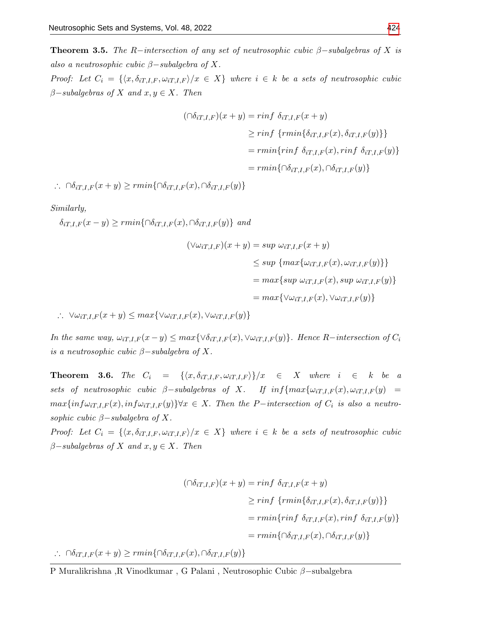**Theorem 3.5.** The R−intersection of any set of neutrosophic cubic  $\beta$ -subalgebras of X is also a neutrosophic cubic  $\beta$ -subalgebra of X.

Proof: Let  $C_i = \{ \langle x, \delta_{iT,I,F}, \omega_{iT,I,F} \rangle / x \in X \}$  where  $i \in k$  be a sets of neutrosophic cubic  $\beta$ -subalgebras of X and  $x, y \in X$ . Then

$$
(\bigcap \delta_{iT,I,F})(x+y) = \min f \ \delta_{iT,I,F}(x+y)
$$
  
\n
$$
\geq \min f \ \{ \min \{ \delta_{iT,I,F}(x), \delta_{iT,I,F}(y) \} \}
$$
  
\n
$$
= \min \{ \min f \ \delta_{iT,I,F}(x), \min f \ \delta_{iT,I,F}(y) \}
$$
  
\n
$$
= \min \{ \bigcap \delta_{iT,I,F}(x), \bigcap \delta_{iT,I,F}(y) \}
$$

∴  $\cap \delta_{iT,I,F}(x+y) \geq rmin\{\cap \delta_{iT,I,F}(x),\cap \delta_{iT,I,F}(y)\}$ 

Similarly,

 $\delta_{iT,I,F}(x-y) \geq rmin\{\bigcap \delta_{iT,I,F}(x),\bigcap \delta_{iT,I,F}(y)\}\$ and

$$
(\forall \omega_{iT,I,F})(x+y) = \sup \omega_{iT,I,F}(x+y)
$$
  
\n
$$
\leq \sup \{ \max \{ \omega_{iT,I,F}(x), \omega_{iT,I,F}(y) \} \}
$$
  
\n
$$
= \max \{ \sup \omega_{iT,I,F}(x), \sup \omega_{iT,I,F}(y) \}
$$
  
\n
$$
= \max \{ \forall \omega_{iT,I,F}(x), \forall \omega_{iT,I,F}(y) \}
$$

∴  $\forall \omega_{iT,I,F}(x+y) \leq max\{\forall \omega_{iT,I,F}(x), \forall \omega_{iT,I,F}(y)\}\$ 

In the same way,  $\omega_{iT,I,F}(x-y) \leq max\{\forall \delta_{iT,I,F}(x), \forall \omega_{iT,I,F}(y)\}.$  Hence R-intersection of  $C_i$ is a neutrosophic cubic  $\beta$ -subalgebra of X.

**Theorem 3.6.** The  $C_i = {\langle x, \delta_{iT,I,F}, \omega_{iT,I,F} \rangle} / x \in X$  where  $i \in k$  be a sets of neutrosophic cubic  $\beta$ -subalgebras of X. If  $inf\{max\{\omega_{iT,I,F}(x), \omega_{iT,I,F}(y)\}$  $max\{inf\omega_{iT,I,F}(x), inf\omega_{iT,I,F}(y)\}\forall x \in X$ . Then the P-intersection of  $C_i$  is also a neutrosophic cubic  $\beta$ -subalgebra of X.

Proof: Let  $C_i = \{ \langle x, \delta_{iT,I,F}, \omega_{iT,I,F} \rangle / x \in X \}$  where  $i \in k$  be a sets of neutrosophic cubic  $\beta$ -subalgebras of X and  $x, y \in X$ . Then

$$
(\bigcap \delta_{iT,I,F})(x+y) = \min f \ \delta_{iT,I,F}(x+y)
$$

$$
\geq \min f \ \{ \min \{ \delta_{iT,I,F}(x), \delta_{iT,I,F}(y) \} \}
$$

$$
= \min \{ \min f \ \delta_{iT,I,F}(x), \min f \ \delta_{iT,I,F}(y) \}
$$

$$
= \min \{ \bigcap \delta_{iT,I,F}(x), \bigcap \delta_{iT,I,F}(y) \}
$$

∴  $\cap \delta_{iT,I,F}(x+y) \geq rmin\{\cap \delta_{iT,I,F}(x), \cap \delta_{iT,I,F}(y)\}$ 

P Muralikrishna ,R Vinodkumar , G Palani , Neutrosophic Cubic β−subalgebra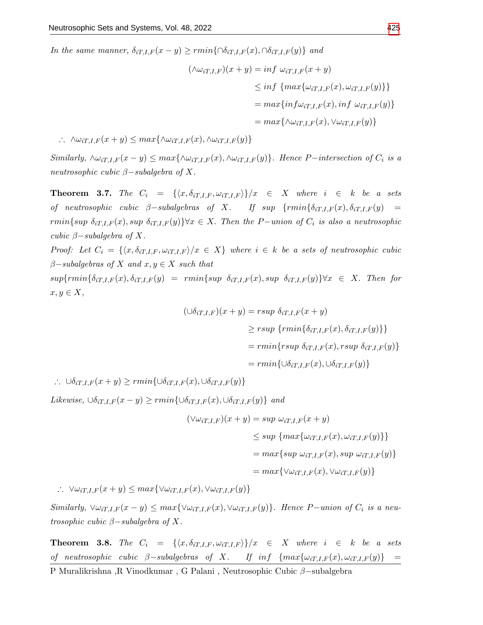In the same manner,  $\delta_{iT,I,F}(x-y) \geq r \min\{\bigcap \delta_{iT,I,F}(x), \bigcap \delta_{iT,I,F}(y)\}\$ and

$$
(\wedge \omega_{iT,I,F})(x + y) = \inf \omega_{iT,I,F}(x + y)
$$
  
\n
$$
\leq \inf \{ \max \{ \omega_{iT,I,F}(x), \omega_{iT,I,F}(y) \} \}
$$
  
\n
$$
= \max \{ \inf \omega_{iT,I,F}(x), \inf \omega_{iT,I,F}(y) \}
$$
  
\n
$$
= \max \{ \wedge \omega_{iT,I,F}(x), \vee \omega_{iT,I,F}(y) \}
$$

∴  $\wedge \omega_{iT,I,F}(x+y) \leq max\{\wedge \omega_{iT,I,F}(x), \wedge \omega_{iT,I,F}(y)\}$ 

Similarly,  $\wedge \omega_{iT,I,F}(x-y) \leq max\{\wedge \omega_{iT,I,F}(x), \wedge \omega_{iT,I,F}(y)\}.$  Hence P-intersection of  $C_i$  is a neutrosophic cubic  $\beta$ -subalgebra of X.

**Theorem 3.7.** The  $C_i = {\langle x, \delta_{iT,I,F}, \omega_{iT,I,F} \rangle} / x \in X$  where  $i \in k$  be a sets of neutrosophic cubic  $\beta$ -subalgebras of X. If sup {rmin{ $\delta_{iT,I,F}(x), \delta_{iT,I,F}(y)$  = rmin{sup  $\delta_{iT,I,F}(x)$ , sup  $\delta_{iT,I,F}(y)$ } $\forall x \in X$ . Then the P-union of  $C_i$  is also a neutrosophic cubic  $\beta$ -subalgebra of X.

Proof: Let  $C_i = \{ \langle x, \delta_{iT,I,F}, \omega_{iT,I,F} \rangle / x \in X \}$  where  $i \in k$  be a sets of neutrosophic cubic  $\beta$ -subalgebras of X and  $x, y \in X$  such that

 $sup{rmin\{\delta_{iT,I,F}(x), \delta_{iT,I,F}(y)\} = rmin\{sup \ \delta_{iT,I,F}(x), sup \ \delta_{iT,I,F}(y)\}\forall x \in X.$  Then for  $x, y \in X$ ,

$$
(\bigcup \delta_{iT,I,F})(x+y) = rsup \delta_{iT,I,F}(x+y)
$$
  
\n
$$
\geq rsup \{rmin\{\delta_{iT,I,F}(x), \delta_{iT,I,F}(y)\}\}
$$
  
\n
$$
= rmin\{rsup \delta_{iT,I,F}(x), rsup \delta_{iT,I,F}(y)\}
$$
  
\n
$$
= rmin\{\bigcup \delta_{iT,I,F}(x), \bigcup \delta_{iT,I,F}(y)\}
$$

∴  $\bigcup \delta_{iT,I,F}(x+y) \geq rmin\{\bigcup \delta_{iT,I,F}(x),\bigcup \delta_{iT,I,F}(y)\}\$ 

Likewise,  $\cup \delta_{iT,I,F}(x-y) \geq rmin\{\cup \delta_{iT,I,F}(x), \cup \delta_{iT,I,F}(y)\}$  and

$$
(\forall \omega_{iT,I,F})(x+y) = \sup \omega_{iT,I,F}(x+y)
$$
  
\n
$$
\leq \sup \{ \max \{ \omega_{iT,I,F}(x), \omega_{iT,I,F}(y) \} \}
$$
  
\n
$$
= \max \{ \sup \omega_{iT,I,F}(x), \sup \omega_{iT,I,F}(y) \}
$$
  
\n
$$
= \max \{ \forall \omega_{iT,I,F}(x), \forall \omega_{iT,I,F}(y) \}
$$

∴  $\forall \omega_{iT,I,F}(x+y) \leq max\{\forall \omega_{iT,I,F}(x), \forall \omega_{iT,I,F}(y)\}\$ 

Similarly,  $\forall \omega_{iT,I,F}(x-y) \leq max\{\forall \omega_{iT,I,F}(x), \forall \omega_{iT,I,F}(y)\}.$  Hence P-union of  $C_i$  is a neutrosophic cubic  $\beta$ -subalgebra of X.

**Theorem 3.8.** The  $C_i = {\langle x, \delta_{iT,I,F}, \omega_{iT,I,F} \rangle}/x \in X$  where  $i \in k$  be a sets  $\label{eq:1} \begin{array}{lllllll} \textit{of} & \textit{neutrosophic} & \textit{cubic} & \beta-subalgebras & \textit{of} & X. & \textit{If} & \textit{inf} & \{ \max\{ \omega_{iT,I,F}(x), \omega_{iT,I,F}(y) \} & = \end{array}$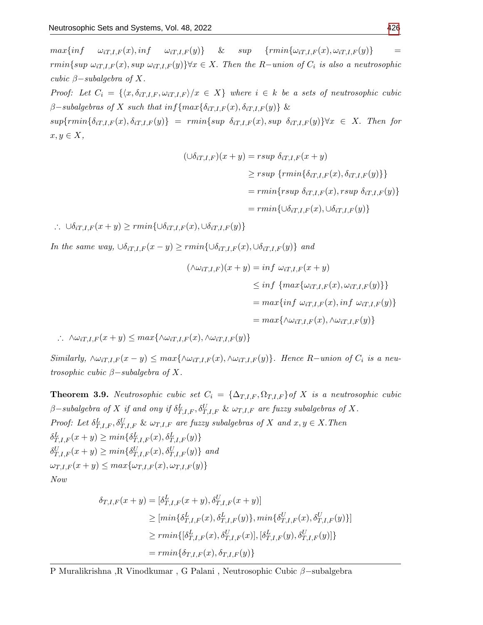$max\{inf \quad \omega_{iT,I,F}(x), inf \quad \omega_{iT,I,F}(y)\}$  &  $sup \{rmin\{\omega_{iT,I,F}(x), \omega_{iT,I,F}(y)\}\quad =$ rmin{sup  $\omega_{iT,I,F}(x)$ , sup  $\omega_{iT,I,F}(y)$ } $\forall x \in X$ . Then the R-union of  $C_i$  is also a neutrosophic cubic  $\beta$ -subalgebra of X.

Proof: Let  $C_i = \{ \langle x, \delta_{iT,I,F}, \omega_{iT,I,F} \rangle / x \in X \}$  where  $i \in k$  be a sets of neutrosophic cubic  $\beta$ -subalgebras of X such that inf{max{ $\delta_{iT,I,F}(x), \delta_{iT,I,F}(y)$  &

 $sup\{rmin\{\delta_{iT,I,F}(x), \delta_{iT,I,F}(y)\}\ =\ rmin\{sup \ \delta_{iT,I,F}(x), sup \ \delta_{iT,I,F}(y)\}\forall x \in X.$  Then for  $x, y \in X$ ,

$$
(\bigcup \delta_{iT,I,F})(x+y) = rsup \ \delta_{iT,I,F}(x+y)
$$
  
\n
$$
\geq rsup \ \{rmin\{\delta_{iT,I,F}(x), \delta_{iT,I,F}(y)\}\}
$$
  
\n
$$
= rmin\{rsup \ \delta_{iT,I,F}(x),rsup \ \delta_{iT,I,F}(y)\}
$$
  
\n
$$
= rmin\{\bigcup \delta_{iT,I,F}(x), \bigcup \delta_{iT,I,F}(y)\}
$$

∴  $\bigcup \delta_{iT,LF}(x+y) \geq rmin\{\bigcup \delta_{iT,LF}(x), \bigcup \delta_{iT,LF}(y)\}\$ 

In the same way,  $\bigcup_{i=1}^{K} f_i(x-y) \geq rmin\{\bigcup_{i=1}^{K} f_i(x), \bigcup_{i=1}^{K} f_i(y)\}$  and

$$
(\wedge \omega_{iT,I,F})(x+y) = \inf \omega_{iT,I,F}(x+y)
$$
  
\n
$$
\leq \inf \{ \max \{ \omega_{iT,I,F}(x), \omega_{iT,I,F}(y) \} \}
$$
  
\n
$$
= \max \{ \inf \omega_{iT,I,F}(x), \inf \omega_{iT,I,F}(y) \}
$$
  
\n
$$
= \max \{ \wedge \omega_{iT,I,F}(x), \wedge \omega_{iT,I,F}(y) \}
$$

∴  $\Delta \omega_{iT,I,F}(x+y)$  ≤  $max\{\Delta \omega_{iT,I,F}(x), \Delta \omega_{iT,I,F}(y)\}$ 

Similarly,  $\wedge \omega_{iT,I,F}(x-y) \leq max\{\wedge \omega_{iT,I,F}(x), \wedge \omega_{iT,I,F}(y)\}.$  Hence R-union of  $C_i$  is a neutrosophic cubic  $\beta$ -subalgebra of X.

**Theorem 3.9.** Neutrosophic cubic set  $C_i = {\Delta_{T,I,F}, \Omega_{T,I,F}}$  of X is a neutrosophic cubic  $\beta$ –subalgebra of X if and ony if  $\delta^L_{T,I,F}, \delta^U_{T,I,F}$  &  $\omega_{T,I,F}$  are fuzzy subalgebras of X. Proof: Let  $\delta_{T,I,F}^L$ ,  $\delta_{T,I,F}^U$  &  $\omega_{T,I,F}$  are fuzzy subalgebras of X and  $x, y \in X$ . Then  $\delta_{T,I,F}^L(x+y) \geq min\{\delta_{T,I,F}^L(x),\delta_{T,I,F}^L(y)\}$  $\delta_{T,I,F}^U(x+y) \geq min\{\delta_{T,I,F}^U(x), \delta_{T,I,F}^U(y)\}$  and  $\omega_{T,I,F}(x+y) \leq max\{\omega_{T,I,F}(x), \omega_{T,I,F}(y)\}$ Now

$$
\delta_{T,I,F}(x+y) = [\delta_{T,I,F}^L(x+y), \delta_{T,I,F}^U(x+y)]
$$
  
\n
$$
\geq [min\{\delta_{T,I,F}^L(x), \delta_{T,I,F}^L(y)\}, min\{\delta_{T,I,F}^U(x), \delta_{T,I,F}^U(y)\}]
$$
  
\n
$$
\geq rmin\{[\delta_{T,I,F}^L(x), \delta_{T,I,F}^U(x)], [\delta_{T,I,F}^L(y), \delta_{T,I,F}^U(y)]\}
$$
  
\n
$$
= rmin\{\delta_{T,I,F}(x), \delta_{T,I,F}(y)\}
$$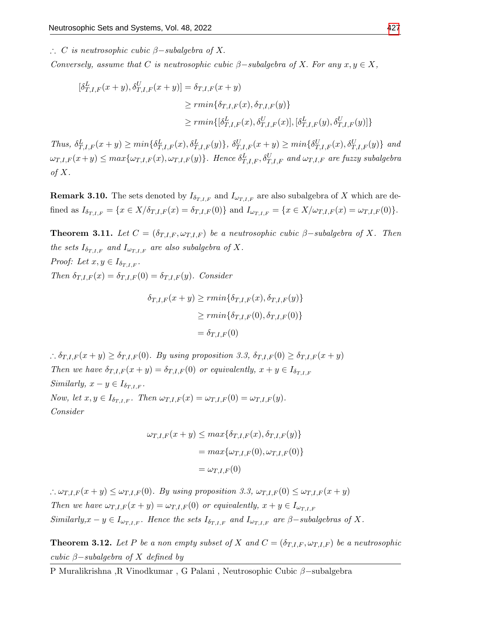∴ C is neutrosophic cubic  $\beta$ -subalgebra of X.

Conversely, assume that C is neutrosophic cubic  $\beta$ -subalgebra of X. For any  $x, y \in X$ ,

$$
\begin{aligned} [\delta^L_{T,I,F}(x+y), \delta^U_{T,I,F}(x+y)] &= \delta_{T,I,F}(x+y) \\ &\ge \min\{\delta_{T,I,F}(x), \delta_{T,I,F}(y)\} \\ &\ge \min\{[\delta^L_{T,I,F}(x), \delta^U_{T,I,F}(x)], [\delta^L_{T,I,F}(y), \delta^U_{T,I,F}(y)]\} \end{aligned}
$$

Thus,  $\delta_{T,I,F}^L(x+y) \ge \min\{\delta_{T,I,F}^L(x), \delta_{T,I,F}^L(y)\}, \ \delta_{T,I,F}^U(x+y) \ge \min\{\delta_{T,I,F}^U(x), \delta_{T,I,F}^U(y)\}\$ and  $\omega_{T,I,F}(x+y) \le max\{\omega_{T,I,F}(x),\omega_{T,I,F}(y)\}.$  Hence  $\delta^L_{T,I,F},\delta^U_{T,I,F}$  and  $\omega_{T,I,F}$  are fuzzy subalgebra of  $X$ .

**Remark 3.10.** The sets denoted by  $I_{\delta_{T,I,F}}$  and  $I_{\omega_{T,I,F}}$  are also subalgebra of X which are defined as  $I_{\delta_{T,I,F}} = \{x \in X/\delta_{T,I,F}(x) = \delta_{T,I,F}(0)\}\$  and  $I_{\omega_{T,I,F}} = \{x \in X/\omega_{T,I,F}(x) = \omega_{T,I,F}(0)\}.$ 

**Theorem 3.11.** Let  $C = (\delta_{T,I,F}, \omega_{T,I,F})$  be a neutrosophic cubic  $\beta$ -subalgebra of X. Then the sets  $I_{\delta_{T,I,F}}$  and  $I_{\omega_{T,I,F}}$  are also subalgebra of X. Proof: Let  $x, y \in I_{\delta_{T,I,F}}$ . Then  $\delta_{T,I,F}(x) = \delta_{T,I,F}(0) = \delta_{T,I,F}(y)$ . Consider

$$
\delta_{T,I,F}(x+y) \ge r \min\{\delta_{T,I,F}(x), \delta_{T,I,F}(y)\}
$$

$$
\ge r \min\{\delta_{T,I,F}(0), \delta_{T,I,F}(0)\}
$$

$$
= \delta_{T,I,F}(0)
$$

$$
\therefore \delta_{T,I,F}(x+y) \ge \delta_{T,I,F}(0). \text{ By using proposition 3.3, } \delta_{T,I,F}(0) \ge \delta_{T,I,F}(x+y)
$$
  
\nThen we have  $\delta_{T,I,F}(x+y) = \delta_{T,I,F}(0)$  or equivalently,  $x+y \in I_{\delta_{T,I,F}}$   
\nSimilarly,  $x-y \in I_{\delta_{T,I,F}}$ .  
\nNow, let  $x, y \in I_{\delta_{T,I,F}}$ . Then  $\omega_{T,I,F}(x) = \omega_{T,I,F}(0) = \omega_{T,I,F}(y)$ .  
\nConsider

$$
\omega_{T,I,F}(x+y) \le \max\{\delta_{T,I,F}(x), \delta_{T,I,F}(y)\}
$$

$$
= \max\{\omega_{T,I,F}(0), \omega_{T,I,F}(0)\}
$$

$$
= \omega_{T,I,F}(0)
$$

 $\therefore \omega_{T,I,F}(x+y) \leq \omega_{T,I,F}(0)$ . By using proposition 3.3,  $\omega_{T,I,F}(0) \leq \omega_{T,I,F}(x+y)$ Then we have  $\omega_{T,I,F}(x+y) = \omega_{T,I,F}(0)$  or equivalently,  $x+y \in I_{\omega_{T,I,F}}$ Similarly,  $x - y \in I_{\omega_{T,I,F}}$ . Hence the sets  $I_{\delta_{T,I,F}}$  and  $I_{\omega_{T,I,F}}$  are  $\beta$ -subalgebras of X.

**Theorem 3.12.** Let P be a non empty subset of X and  $C = (\delta_{T,I,F}, \omega_{T,I,F})$  be a neutrosophic cubic  $\beta$ -subalgebra of X defined by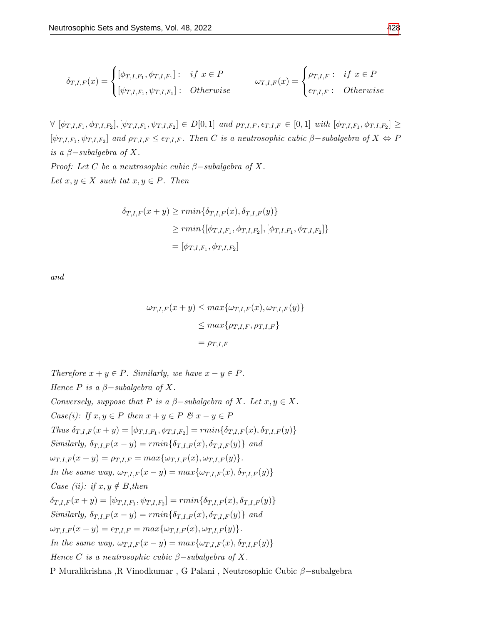$$
\delta_{T,I,F}(x) = \begin{cases} [\phi_{T,I,F_1}, \phi_{T,I,F_1}] : & if \ x \in P \\ [\psi_{T,I,F_1}, \psi_{T,I,F_1}] : & Otherwise \end{cases} \qquad \omega_{T,I,F}(x) = \begin{cases} \rho_{T,I,F} : & if \ x \in P \\ \epsilon_{T,I,F} : & Otherwise \end{cases}
$$

 $\forall [\phi_{T,I,F_1}, \phi_{T,I,F_2}], [\psi_{T,I,F_1}, \psi_{T,I,F_2}] \in D[0,1]$  and  $\rho_{T,I,F}, \epsilon_{T,I,F} \in [0,1]$  with  $[\phi_{T,I,F_1}, \phi_{T,I,F_2}] \geq$  $[\psi_{T,I,F_1}, \psi_{T,I,F_2}]$  and  $\rho_{T,I,F} \leq \epsilon_{T,I,F}$ . Then C is a neutrosophic cubic  $\beta$ -subalgebra of  $X \Leftrightarrow P$ is a  $\beta$ -subalgebra of X.

*Proof:* Let C be a neutrosophic cubic  $\beta$ -subalgebra of X. Let  $x, y \in X$  such tat  $x, y \in P$ . Then

$$
\delta_{T,I,F}(x+y) \ge r \min\{\delta_{T,I,F}(x), \delta_{T,I,F}(y)\}
$$
  
\n
$$
\ge r \min\{[\phi_{T,I,F_1}, \phi_{T,I,F_2}], [\phi_{T,I,F_1}, \phi_{T,I,F_2}]\}
$$
  
\n
$$
= [\phi_{T,I,F_1}, \phi_{T,I,F_2}]
$$

and

$$
\omega_{T,I,F}(x+y) \le \max\{\omega_{T,I,F}(x), \omega_{T,I,F}(y)\}
$$

$$
\le \max\{\rho_{T,I,F}, \rho_{T,I,F}\}
$$

$$
= \rho_{T,I,F}
$$

Therefore  $x + y \in P$ . Similarly, we have  $x - y \in P$ . Hence P is a  $\beta$ -subalgebra of X. Conversely, suppose that P is a  $\beta$ -subalgebra of X. Let  $x, y \in X$ . Case(i): If  $x, y \in P$  then  $x + y \in P$  &  $x - y \in P$ Thus  $\delta_{T,I,F}(x+y) = [\phi_{T,I,F_1}, \phi_{T,I,F_2}] = rmin\{\delta_{T,I,F}(x), \delta_{T,I,F}(y)\}$ Similarly,  $\delta_{T,I,F}(x-y) = rmin\{\delta_{T,I,F}(x), \delta_{T,I,F}(y)\}\$ and  $\omega_{T,I,F}(x+y) = \rho_{T,I,F} = max{\{\omega_{T,I,F}(x), \omega_{T,I,F}(y)\}}.$ In the same way,  $\omega_{T,I,F}(x-y) = max{\omega_{T,I,F}(x), \delta_{T,I,F}(y)}$ Case (ii): if  $x, y \notin B$ , then  $\delta_{T,I,F}(x+y) = [\psi_{T,I,F_1}, \psi_{T,I,F_2}] = rmin\{\delta_{T,I,F}(x), \delta_{T,I,F}(y)\}$ Similarly,  $\delta_{T,I,F}(x-y) = rmin\{\delta_{T,I,F}(x), \delta_{T,I,F}(y)\}\$ and  $\omega_{T,I,F}(x+y) = \epsilon_{T,I,F} = max\{\omega_{T,I,F}(x), \omega_{T,I,F}(y)\}.$ In the same way,  $\omega_{T,I,F}(x-y) = max{\omega_{T,I,F}(x), \delta_{T,I,F}(y)}$ Hence C is a neutrosophic cubic  $\beta$ -subalgebra of X.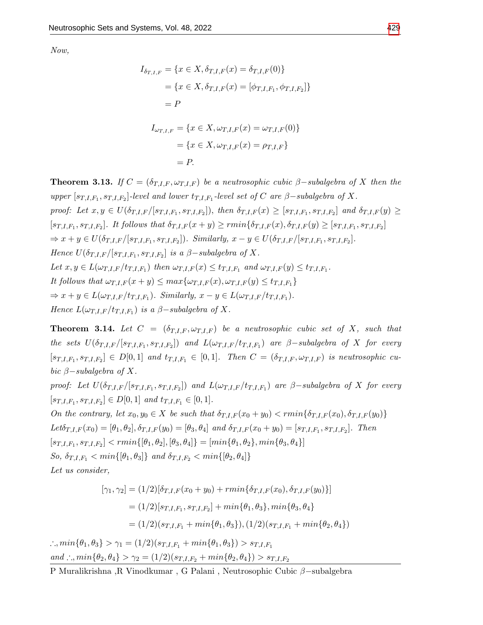Now,

$$
I_{\delta_{T,I,F}} = \{x \in X, \delta_{T,I,F}(x) = \delta_{T,I,F}(0)\}
$$
  
=  $\{x \in X, \delta_{T,I,F}(x) = [\phi_{T,I,F_1}, \phi_{T,I,F_2}]\}$   
=  $P$   

$$
I_{\omega_{T,I,F}} = \{x \in X, \omega_{T,I,F}(x) = \omega_{T,I,F}(0)\}
$$
  
=  $\{x \in X, \omega_{T,I,F}(x) = \rho_{T,I,F}\}$   
=  $P$ .

**Theorem 3.13.** If  $C = (\delta_{T,I,F}, \omega_{T,I,F})$  be a neutrosophic cubic  $\beta$ -subalgebra of X then the upper  $[s_{T,I,F_1}, s_{T,I,F_2}]$ -level and lower  $t_{T,I,F_1}$ -level set of C are  $\beta$ -subalgebra of X. proof: Let  $x, y \in U(\delta_{T,I,F}/[s_{T,I,F_1}, s_{T,I,F_2}]),$  then  $\delta_{T,I,F}(x) \geq [s_{T,I,F_1}, s_{T,I,F_2}]$  and  $\delta_{T,I,F}(y) \geq$  $[s_{T,I,F_1}, s_{T,I,F_2}]$ . It follows that  $\delta_{T,I,F}(x+y) \geq r \min{\{\delta_{T,I,F}(x), \delta_{T,I,F}(y) \geq [s_{T,I,F_1}, s_{T,I,F_2}]\}}$  $\Rightarrow x + y \in U(\delta_{T,I,F}/[s_{T,I,F_1}, s_{T,I,F_2}])$ . Similarly,  $x - y \in U(\delta_{T,I,F}/[s_{T,I,F_1}, s_{T,I,F_2}])$ . Hence  $U(\delta_{T,I,F}/[s_{T,I,F_1}, s_{T,I,F_2}]$  is a  $\beta$ -subalgebra of X. Let  $x, y \in L(\omega_{T,I,F}/t_{T,I,F_1})$  then  $\omega_{T,I,F}(x) \leq t_{T,I,F_1}$  and  $\omega_{T,I,F}(y) \leq t_{T,I,F_1}$ . It follows that  $\omega_{T,I,F}(x+y) \leq max\{\omega_{T,I,F}(x), \omega_{T,I,F}(y) \leq t_{T,I,F_1}\}$  $\Rightarrow x+y \in L(\omega_{T,I,F}/t_{T,I,F_1})$ . Similarly,  $x-y \in L(\omega_{T,I,F}/t_{T,I,F_1})$ . Hence  $L(\omega_{T,I,F}/t_{T,I,F_1})$  is a  $\beta$ -subalgebra of X.

**Theorem 3.14.** Let  $C = (\delta_{T,I,F}, \omega_{T,I,F})$  be a neutrosophic cubic set of X, such that the sets  $U(\delta_{T,I,F}/[s_{T,I,F_1},s_{T,I,F_2}])$  and  $L(\omega_{T,I,F}/t_{T,I,F_1})$  are  $\beta$ -subalgebra of X for every  $[s_{T,I,F_1}, s_{T,I,F_2}] \in D[0,1]$  and  $t_{T,I,F_1} \in [0,1]$ . Then  $C = (\delta_{T,I,F}, \omega_{T,I,F})$  is neutrosophic cubic  $\beta$ -subalgebra of X.

proof: Let  $U(\delta_{T,I,F}/[s_{T,I,F_1},s_{T,I,F_2}])$  and  $L(\omega_{T,I,F}/t_{T,I,F_1})$  are  $\beta$ -subalgebra of X for every  $[s_{T,I,F_1}, s_{T,I,F_2}] \in D[0,1]$  and  $t_{T,I,F_1} \in [0,1]$ .

On the contrary, let  $x_0, y_0 \in X$  be such that  $\delta_{T,I,F}(x_0+y_0) < r \min{\delta_{T,I,F}(x_0), \delta_{T,I,F}(y_0)}$  $Let \delta_{T,I,F}(x_0) = [\theta_1, \theta_2], \delta_{T,I,F}(y_0) = [\theta_3, \theta_4]$  and  $\delta_{T,I,F}(x_0 + y_0) = [s_{T,I,F_1}, s_{T,I,F_2}]$ . Then  $[s_{T,I,F_1}, s_{T,I,F_2}] < rmin\{[\theta_1, \theta_2], [\theta_3, \theta_4]\} = [min\{\theta_1, \theta_2\}, min\{\theta_3, \theta_4\}]$ So,  $\delta_{T,I,F_1} < min\{\vert \theta_1, \theta_3 \vert\}$  and  $\delta_{T,I,F_2} < min\{\vert \theta_2, \theta_4 \vert\}$ Let us consider,

$$
[\gamma_1, \gamma_2] = (1/2)[\delta_{T,I,F}(x_0 + y_0) + rmin{\delta_{T,I,F}(x_0), \delta_{T,I,F}(y_0)}]
$$
  

$$
= (1/2)[s_{T,I,F_1}, s_{T,I,F_2}] + min{\theta_1, \theta_3}, min{\theta_3, \theta_4}
$$
  

$$
= (1/2)(s_{T,I,F_1} + min{\theta_1, \theta_3}), (1/2)(s_{T,I,F_1} + min{\theta_2, \theta_4})
$$

∴,  $min\{\theta_1, \theta_3\} > \gamma_1 = (1/2)(s_{T,I,F_1} + min\{\theta_1, \theta_3\}) > s_{T,I,F_1}$ and :.,  $min\{\theta_2, \theta_4\} > \gamma_2 = (1/2)(s_{T,I,F_2} + min\{\theta_2, \theta_4\}) > s_{T,I,F_2}$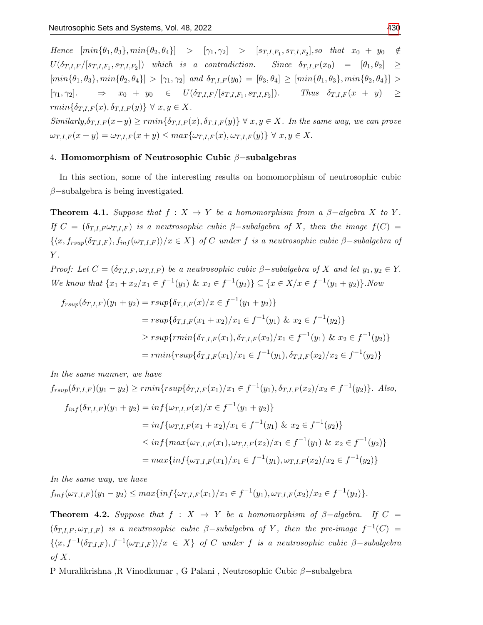$Hence \ [min\{\theta_1, \theta_3\}, min\{\theta_2, \theta_4\}] > [\gamma_1, \gamma_2] > [s_{T,I,F_1}, s_{T,I,F_2}], so \ that \ x_0 + y_0 \notin$  $U(\delta_{T,I,F}/[s_{T,I,F_1},s_{T,I,F_2}])$  which is a contradiction. Since  $\delta_{T,I,F}(x_0) = [\theta_1,\theta_2] \geq$  $[\min{\{\theta_1, \theta_3\}}, \min{\{\theta_2, \theta_4\}}] > [\gamma_1, \gamma_2]$  and  $\delta_{T,I,F}(y_0) = [\theta_3, \theta_4] \geq [\min{\{\theta_1, \theta_3\}}, \min{\{\theta_2, \theta_4\}}] >$  $[\gamma_1, \gamma_2] \rightarrow x_0 + y_0 \in U(\delta_{T,I,F}/[s_{T,I,F_1}, s_{T,I,F_2}])$ . Thus  $\delta_{T,I,F}(x + y) \geq$  $rmin{\lbrace \delta_{T,I,F}(x), \delta_{T,I,F}(y) \rbrace} \ \forall \ x, y \in X.$ 

 $Similarly, \delta_{T,I,F}(x-y) \geq rmin{\delta_{T,I,F}(x), \delta_{T,I,F}(y)} \forall x, y \in X$ . In the same way, we can prove  $\omega_{T,I,F}(x+y) = \omega_{T,I,F}(x+y) \leq max{\omega_{T,I,F}(x), \omega_{T,I,F}(y)} \ \forall \ x, y \in X.$ 

## 4. Homomorphism of Neutrosophic Cubic β−subalgebras

In this section, some of the interesting results on homomorphism of neutrosophic cubic  $\beta$ -subalgebra is being investigated.

**Theorem 4.1.** Suppose that  $f : X \to Y$  be a homomorphism from a  $\beta$ -algebra X to Y. If  $C = (\delta_{T,I,F} \omega_{T,I,F})$  is a neutrosophic cubic  $\beta$ -subalgebra of X, then the image  $f(C)$  $\{(x, f_{rsup}(\delta_{T,I,F}), f_{inf}(\omega_{T,I,F}))/x \in X\}$  of C under f is a neutrosophic cubic β–subalgebra of  $Y$ .

Proof: Let  $C = (\delta_{T,I,F}, \omega_{T,I,F})$  be a neutrosophic cubic  $\beta$ -subalgebra of X and let  $y_1, y_2 \in Y$ . We know that  $\{x_1 + x_2/x_1 \in f^{-1}(y_1) \& x_2 \in f^{-1}(y_2)\} \subseteq \{x \in X/x \in f^{-1}(y_1 + y_2)\}\)$ . Now

$$
f_{rsup}(\delta_{T,I,F})(y_1 + y_2) = rsup\{\delta_{T,I,F}(x)/x \in f^{-1}(y_1 + y_2)\}
$$
  
=  $rsup\{\delta_{T,I,F}(x_1 + x_2)/x_1 \in f^{-1}(y_1) \& x_2 \in f^{-1}(y_2)\}$   

$$
\geq rsup\{rmin\{\delta_{T,I,F}(x_1), \delta_{T,I,F}(x_2)/x_1 \in f^{-1}(y_1) \& x_2 \in f^{-1}(y_2)\}
$$
  
=  $rmin\{rsup\{\delta_{T,I,F}(x_1)/x_1 \in f^{-1}(y_1), \delta_{T,I,F}(x_2)/x_2 \in f^{-1}(y_2)\}\}$ 

In the same manner, we have

$$
f_{rsup}(\delta_{T,I,F})(y_1 - y_2) \ge rmin\{rsup\{\delta_{T,I,F}(x_1)/x_1 \in f^{-1}(y_1), \delta_{T,I,F}(x_2)/x_2 \in f^{-1}(y_2)\}\.
$$
 Also,  

$$
f_{inf}(\delta_{T,I,F})(y_1 + y_2) = inf\{\omega_{T,I,F}(x)/x \in f^{-1}(y_1 + y_2)\}
$$

$$
= inf\{\omega_{T,I,F}(x_1 + x_2)/x_1 \in f^{-1}(y_1) \& x_2 \in f^{-1}(y_2)\}
$$

$$
\leq \inf \{ \max \{ \omega_{T,I,F}(x_1), \omega_{T,I,F}(x_2)/x_1 \in f^{-1}(y_1) \& x_2 \in f^{-1}(y_2) \}
$$

$$
= \max \{ \inf \{ \omega_{T,I,F}(x_1)/x_1 \in f^{-1}(y_1), \omega_{T,I,F}(x_2)/x_2 \in f^{-1}(y_2) \}
$$

In the same way, we have

$$
f_{inf}(\omega_{T,I,F})(y_1-y_2) \leq max\{inf{\omega_{T,I,F}(x_1)/x_1 \in f^{-1}(y_1), \omega_{T,I,F}(x_2)/x_2 \in f^{-1}(y_2)\}.
$$

**Theorem 4.2.** Suppose that  $f : X \rightarrow Y$  be a homomorphism of  $\beta$ -algebra. If  $C =$  $(\delta_{T,I,F}, \omega_{T,I,F})$  is a neutrosophic cubic  $\beta$ -subalgebra of Y, then the pre-image  $f^{-1}(C)$  =  $\{\langle x, f^{-1}(\delta_{T,I,F}), f^{-1}(\omega_{T,I,F})\rangle / x \in X\}$  of C under f is a neutrosophic cubic  $\beta$ -subalgebra of  $X$ .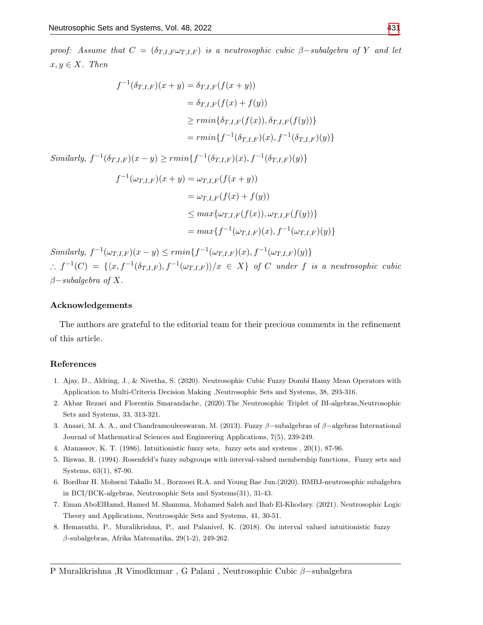proof: Assume that  $C = (\delta_{T,I,F} \omega_{T,I,F})$  is a neutrosophic cubic  $\beta$ -subalgebra of Y and let  $x, y \in X$ . Then

$$
f^{-1}(\delta_{T,I,F})(x+y) = \delta_{T,I,F}(f(x+y))
$$
  
=  $\delta_{T,I,F}(f(x) + f(y))$   

$$
\geq rmin{\delta_{T,I,F}(f(x)), \delta_{T,I,F}(f(y))}
$$
  
=  $rmin{f^{-1}(\delta_{T,I,F})(x), f^{-1}(\delta_{T,I,F})(y)}$ 

Similarly,  $f^{-1}(\delta_{T,F}) (x - y) > r \min\{f^{-1}(\delta_{T,F}) (x), f^{-1}(\delta_{T,F}) (y)\}$ 

$$
f^{-1}(\omega_{T,I,F})(x+y) = \omega_{T,I,F}(f(x+y))
$$
  
=  $\omega_{T,I,F}(f(x) + f(y))$   
 $\leq max{\omega_{T,I,F}(f(x)), \omega_{T,I,F}(f(y))}$   
=  $max{f^{-1}(\omega_{T,I,F})(x), f^{-1}(\omega_{T,I,F})(y)}$ 

Similarly,  $f^{-1}(\omega_{T,I,F})(x-y) \leq r \min\{f^{-1}(\omega_{T,I,F})(x), f^{-1}(\omega_{T,I,F})(y)\}$ ∴  $f^{-1}(C) = \{ \langle x, f^{-1}(\delta_{T,I,F}), f^{-1}(\omega_{T,I,F}) \rangle / x \in X \}$  of C under f is a neutrosophic cubic  $\beta$ -subalgebra of X.

#### Acknowledgements

The authors are grateful to the editorial team for their precious comments in the refinement of this article.

#### References

- 1. Ajay, D., Aldring, J., & Nivetha, S. (2020). Neutrosophic Cubic Fuzzy Dombi Hamy Mean Operators with Application to Multi-Criteria Decision Making ,Neutrosophic Sets and Systems, 38, 293-316.
- <span id="page-14-5"></span>2. Akbar Rezaei and Florentin Smarandache, (2020).The Neutrosophic Triplet of BI-algebras,Neutrosophic Sets and Systems, 33, 313-321.
- <span id="page-14-6"></span>3. Ansari, M. A. A., and Chandramouleeswaran, M. (2013). Fuzzy β−subalgebras of β−algebras International Journal of Mathematical Sciences and Engineering Applications, 7(5), 239-249.
- <span id="page-14-2"></span>4. Atanassov, K. T. (1986). Intuitionistic fuzzy sets, fuzzy sets and systems , 20(1), 87-96.
- <span id="page-14-0"></span>5. Biswas, R. (1994). Rosenfeld's fuzzy subgroups with interval-valued membership functions, Fuzzy sets and Systems, 63(1), 87-90.
- <span id="page-14-1"></span>6. Bordbar H. Mohseni Takallo M., Borzooei R.A. and Young Bae Jun.(2020). BMBJ-neutrosophic subalgebra in BCI/BCK-algebras, Neutrosophic Sets and Systems(31), 31-43.
- <span id="page-14-4"></span>7. Eman AboElHamd, Hamed M. Shamma, Mohamed Saleh and Ihab El-Khodary. (2021). Neutrosophic Logic Theory and Applications, Neutrosophic Sets and Systems, 41, 30-51.
- <span id="page-14-7"></span><span id="page-14-3"></span>8. Hemavathi, P., Muralikrishna, P., and Palanivel, K. (2018). On interval valued intuitionistic fuzzy β-subalgebras, Afrika Matematika, 29(1-2), 249-262.